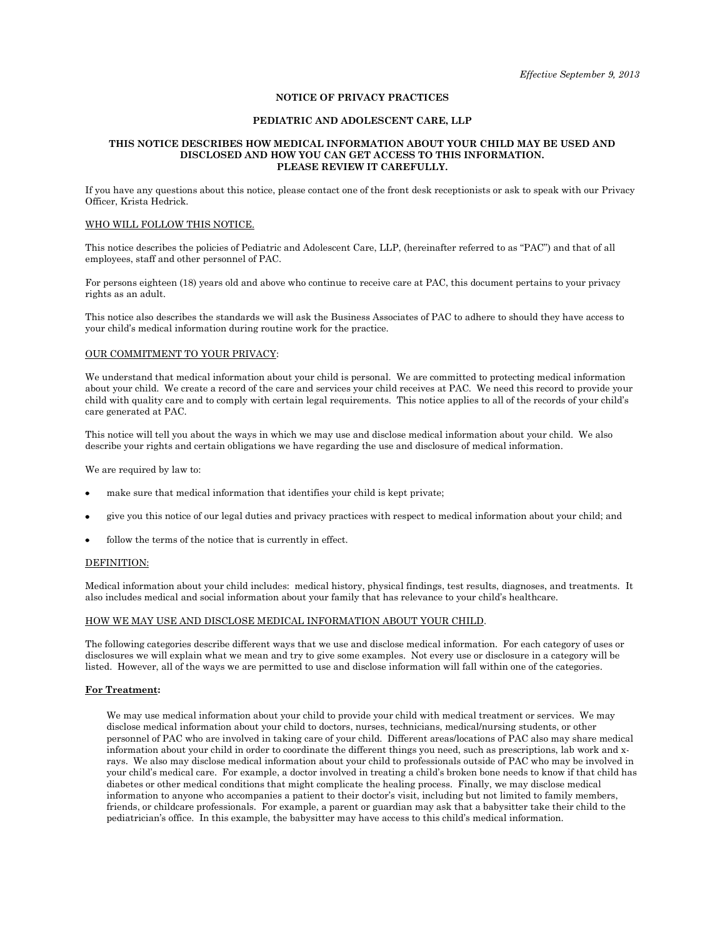# **NOTICE OF PRIVACY PRACTICES**

### **PEDIATRIC AND ADOLESCENT CARE, LLP**

### **THIS NOTICE DESCRIBES HOW MEDICAL INFORMATION ABOUT YOUR CHILD MAY BE USED AND DISCLOSED AND HOW YOU CAN GET ACCESS TO THIS INFORMATION. PLEASE REVIEW IT CAREFULLY.**

If you have any questions about this notice, please contact one of the front desk receptionists or ask to speak with our Privacy Officer, Krista Hedrick.

#### WHO WILL FOLLOW THIS NOTICE.

This notice describes the policies of Pediatric and Adolescent Care, LLP, (hereinafter referred to as "PAC") and that of all employees, staff and other personnel of PAC.

For persons eighteen (18) years old and above who continue to receive care at PAC, this document pertains to your privacy rights as an adult.

This notice also describes the standards we will ask the Business Associates of PAC to adhere to should they have access to your child's medical information during routine work for the practice.

# OUR COMMITMENT TO YOUR PRIVACY:

We understand that medical information about your child is personal. We are committed to protecting medical information about your child. We create a record of the care and services your child receives at PAC. We need this record to provide your child with quality care and to comply with certain legal requirements. This notice applies to all of the records of your child's care generated at PAC.

This notice will tell you about the ways in which we may use and disclose medical information about your child. We also describe your rights and certain obligations we have regarding the use and disclosure of medical information.

We are required by law to:

- make sure that medical information that identifies your child is kept private;
- give you this notice of our legal duties and privacy practices with respect to medical information about your child; and
- follow the terms of the notice that is currently in effect.

### DEFINITION:

Medical information about your child includes: medical history, physical findings, test results, diagnoses, and treatments. It also includes medical and social information about your family that has relevance to your child's healthcare.

### HOW WE MAY USE AND DISCLOSE MEDICAL INFORMATION ABOUT YOUR CHILD.

The following categories describe different ways that we use and disclose medical information. For each category of uses or disclosures we will explain what we mean and try to give some examples. Not every use or disclosure in a category will be listed. However, all of the ways we are permitted to use and disclose information will fall within one of the categories.

### **For Treatment:**

We may use medical information about your child to provide your child with medical treatment or services. We may disclose medical information about your child to doctors, nurses, technicians, medical/nursing students, or other personnel of PAC who are involved in taking care of your child. Different areas/locations of PAC also may share medical information about your child in order to coordinate the different things you need, such as prescriptions, lab work and xrays. We also may disclose medical information about your child to professionals outside of PAC who may be involved in your child's medical care. For example, a doctor involved in treating a child's broken bone needs to know if that child has diabetes or other medical conditions that might complicate the healing process. Finally, we may disclose medical information to anyone who accompanies a patient to their doctor's visit, including but not limited to family members, friends, or childcare professionals. For example, a parent or guardian may ask that a babysitter take their child to the pediatrician's office. In this example, the babysitter may have access to this child's medical information.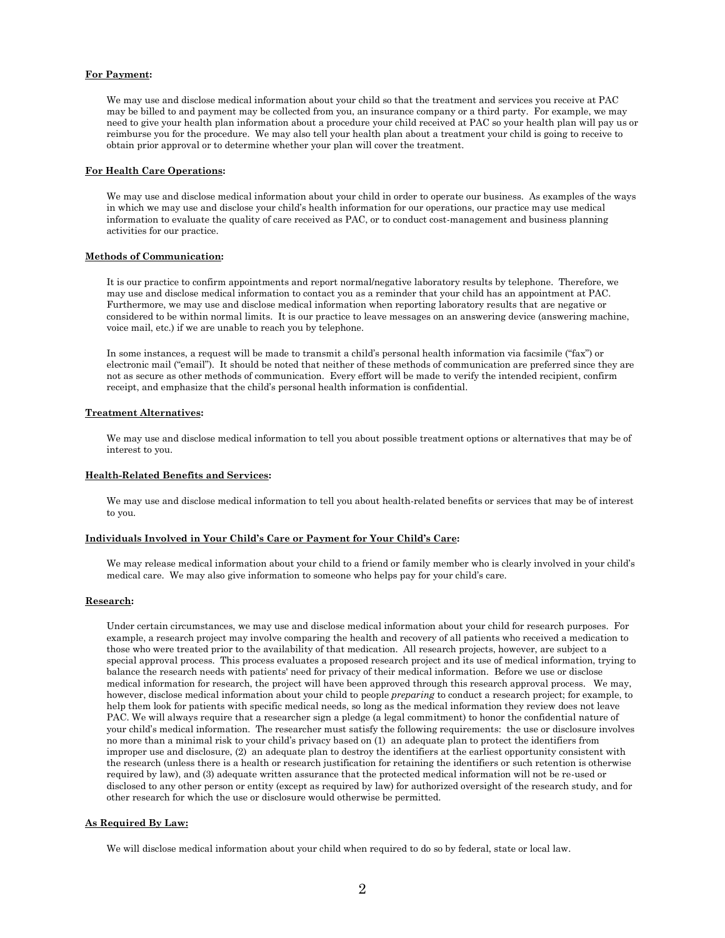#### **For Payment:**

We may use and disclose medical information about your child so that the treatment and services you receive at PAC may be billed to and payment may be collected from you, an insurance company or a third party. For example, we may need to give your health plan information about a procedure your child received at PAC so your health plan will pay us or reimburse you for the procedure. We may also tell your health plan about a treatment your child is going to receive to obtain prior approval or to determine whether your plan will cover the treatment.

#### **For Health Care Operations:**

We may use and disclose medical information about your child in order to operate our business. As examples of the ways in which we may use and disclose your child's health information for our operations, our practice may use medical information to evaluate the quality of care received as PAC, or to conduct cost-management and business planning activities for our practice.

### **Methods of Communication:**

It is our practice to confirm appointments and report normal/negative laboratory results by telephone. Therefore, we may use and disclose medical information to contact you as a reminder that your child has an appointment at PAC. Furthermore, we may use and disclose medical information when reporting laboratory results that are negative or considered to be within normal limits. It is our practice to leave messages on an answering device (answering machine, voice mail, etc.) if we are unable to reach you by telephone.

In some instances, a request will be made to transmit a child's personal health information via facsimile ("fax") or electronic mail ("email"). It should be noted that neither of these methods of communication are preferred since they are not as secure as other methods of communication. Every effort will be made to verify the intended recipient, confirm receipt, and emphasize that the child's personal health information is confidential.

#### **Treatment Alternatives:**

We may use and disclose medical information to tell you about possible treatment options or alternatives that may be of interest to you.

# **Health-Related Benefits and Services:**

We may use and disclose medical information to tell you about health-related benefits or services that may be of interest to you.

# **Individuals Involved in Your Child's Care or Payment for Your Child's Care:**

We may release medical information about your child to a friend or family member who is clearly involved in your child's medical care. We may also give information to someone who helps pay for your child's care.

### **Research:**

Under certain circumstances, we may use and disclose medical information about your child for research purposes. For example, a research project may involve comparing the health and recovery of all patients who received a medication to those who were treated prior to the availability of that medication. All research projects, however, are subject to a special approval process. This process evaluates a proposed research project and its use of medical information, trying to balance the research needs with patients' need for privacy of their medical information. Before we use or disclose medical information for research, the project will have been approved through this research approval process. We may, however, disclose medical information about your child to people *preparing* to conduct a research project; for example, to help them look for patients with specific medical needs, so long as the medical information they review does not leave PAC. We will always require that a researcher sign a pledge (a legal commitment) to honor the confidential nature of your child's medical information. The researcher must satisfy the following requirements: the use or disclosure involves no more than a minimal risk to your child's privacy based on (1) an adequate plan to protect the identifiers from improper use and disclosure, (2) an adequate plan to destroy the identifiers at the earliest opportunity consistent with the research (unless there is a health or research justification for retaining the identifiers or such retention is otherwise required by law), and (3) adequate written assurance that the protected medical information will not be re-used or disclosed to any other person or entity (except as required by law) for authorized oversight of the research study, and for other research for which the use or disclosure would otherwise be permitted.

#### **As Required By Law:**

We will disclose medical information about your child when required to do so by federal, state or local law.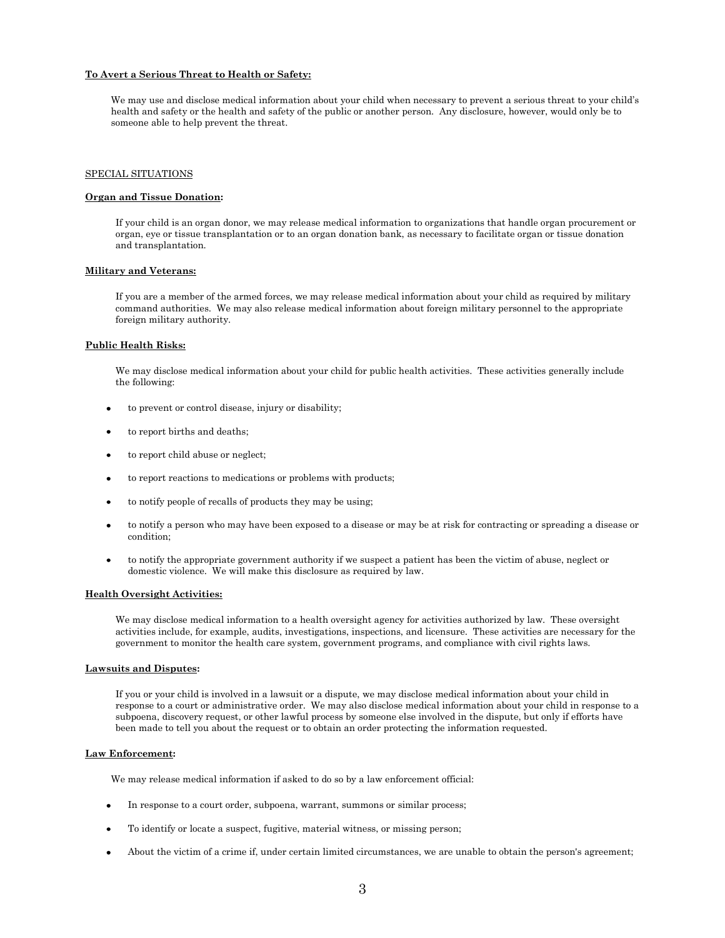#### **To Avert a Serious Threat to Health or Safety:**

We may use and disclose medical information about your child when necessary to prevent a serious threat to your child's health and safety or the health and safety of the public or another person. Any disclosure, however, would only be to someone able to help prevent the threat.

### SPECIAL SITUATIONS

### **Organ and Tissue Donation:**

If your child is an organ donor, we may release medical information to organizations that handle organ procurement or organ, eye or tissue transplantation or to an organ donation bank, as necessary to facilitate organ or tissue donation and transplantation.

#### **Military and Veterans:**

If you are a member of the armed forces, we may release medical information about your child as required by military command authorities. We may also release medical information about foreign military personnel to the appropriate foreign military authority.

# **Public Health Risks:**

We may disclose medical information about your child for public health activities. These activities generally include the following:

- $\bullet$ to prevent or control disease, injury or disability;
- to report births and deaths;
- $\bullet$ to report child abuse or neglect;
- to report reactions to medications or problems with products;
- to notify people of recalls of products they may be using;
- to notify a person who may have been exposed to a disease or may be at risk for contracting or spreading a disease or condition;
- to notify the appropriate government authority if we suspect a patient has been the victim of abuse, neglect or domestic violence. We will make this disclosure as required by law.

#### **Health Oversight Activities:**

We may disclose medical information to a health oversight agency for activities authorized by law. These oversight activities include, for example, audits, investigations, inspections, and licensure. These activities are necessary for the government to monitor the health care system, government programs, and compliance with civil rights laws.

#### **Lawsuits and Disputes:**

If you or your child is involved in a lawsuit or a dispute, we may disclose medical information about your child in response to a court or administrative order. We may also disclose medical information about your child in response to a subpoena, discovery request, or other lawful process by someone else involved in the dispute, but only if efforts have been made to tell you about the request or to obtain an order protecting the information requested.

### **Law Enforcement:**

We may release medical information if asked to do so by a law enforcement official:

- In response to a court order, subpoena, warrant, summons or similar process;
- To identify or locate a suspect, fugitive, material witness, or missing person;
- About the victim of a crime if, under certain limited circumstances, we are unable to obtain the person's agreement;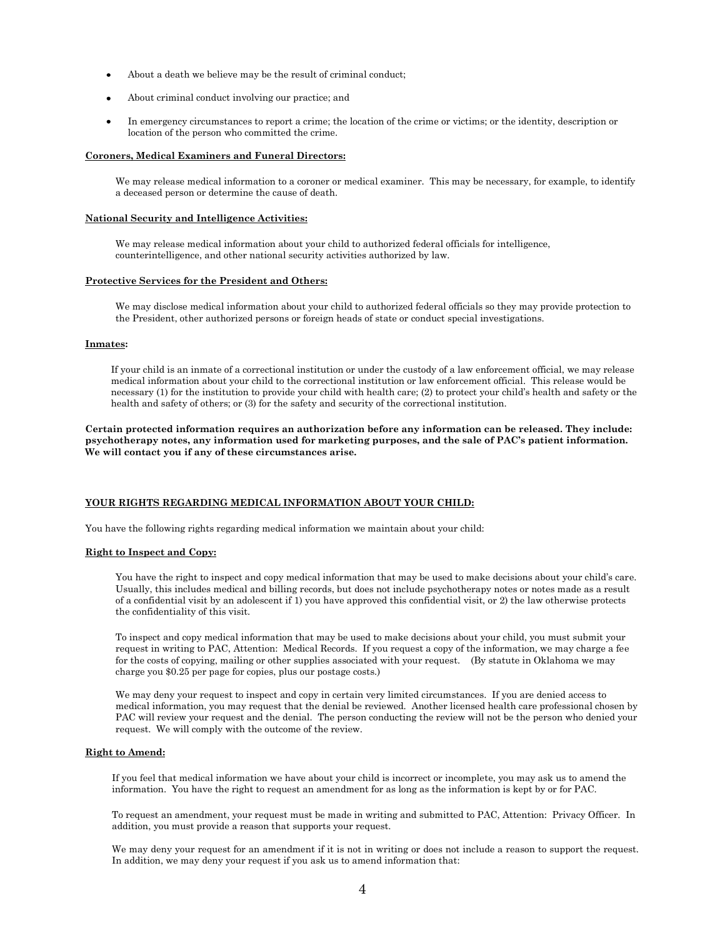- About a death we believe may be the result of criminal conduct;
- About criminal conduct involving our practice; and
- In emergency circumstances to report a crime; the location of the crime or victims; or the identity, description or location of the person who committed the crime.

#### **Coroners, Medical Examiners and Funeral Directors:**

We may release medical information to a coroner or medical examiner. This may be necessary, for example, to identify a deceased person or determine the cause of death.

### **National Security and Intelligence Activities:**

We may release medical information about your child to authorized federal officials for intelligence, counterintelligence, and other national security activities authorized by law.

### **Protective Services for the President and Others:**

We may disclose medical information about your child to authorized federal officials so they may provide protection to the President, other authorized persons or foreign heads of state or conduct special investigations.

# **Inmates:**

If your child is an inmate of a correctional institution or under the custody of a law enforcement official, we may release medical information about your child to the correctional institution or law enforcement official. This release would be necessary (1) for the institution to provide your child with health care; (2) to protect your child's health and safety or the health and safety of others; or (3) for the safety and security of the correctional institution.

**Certain protected information requires an authorization before any information can be released. They include: psychotherapy notes, any information used for marketing purposes, and the sale of PAC's patient information. We will contact you if any of these circumstances arise.**

### **YOUR RIGHTS REGARDING MEDICAL INFORMATION ABOUT YOUR CHILD:**

You have the following rights regarding medical information we maintain about your child:

### **Right to Inspect and Copy:**

You have the right to inspect and copy medical information that may be used to make decisions about your child's care. Usually, this includes medical and billing records, but does not include psychotherapy notes or notes made as a result of a confidential visit by an adolescent if 1) you have approved this confidential visit, or 2) the law otherwise protects the confidentiality of this visit.

To inspect and copy medical information that may be used to make decisions about your child, you must submit your request in writing to PAC, Attention: Medical Records. If you request a copy of the information, we may charge a fee for the costs of copying, mailing or other supplies associated with your request. (By statute in Oklahoma we may charge you \$0.25 per page for copies, plus our postage costs.)

We may deny your request to inspect and copy in certain very limited circumstances. If you are denied access to medical information, you may request that the denial be reviewed. Another licensed health care professional chosen by PAC will review your request and the denial. The person conducting the review will not be the person who denied your request. We will comply with the outcome of the review.

#### **Right to Amend:**

If you feel that medical information we have about your child is incorrect or incomplete, you may ask us to amend the information. You have the right to request an amendment for as long as the information is kept by or for PAC.

To request an amendment, your request must be made in writing and submitted to PAC, Attention: Privacy Officer. In addition, you must provide a reason that supports your request.

We may deny your request for an amendment if it is not in writing or does not include a reason to support the request. In addition, we may deny your request if you ask us to amend information that: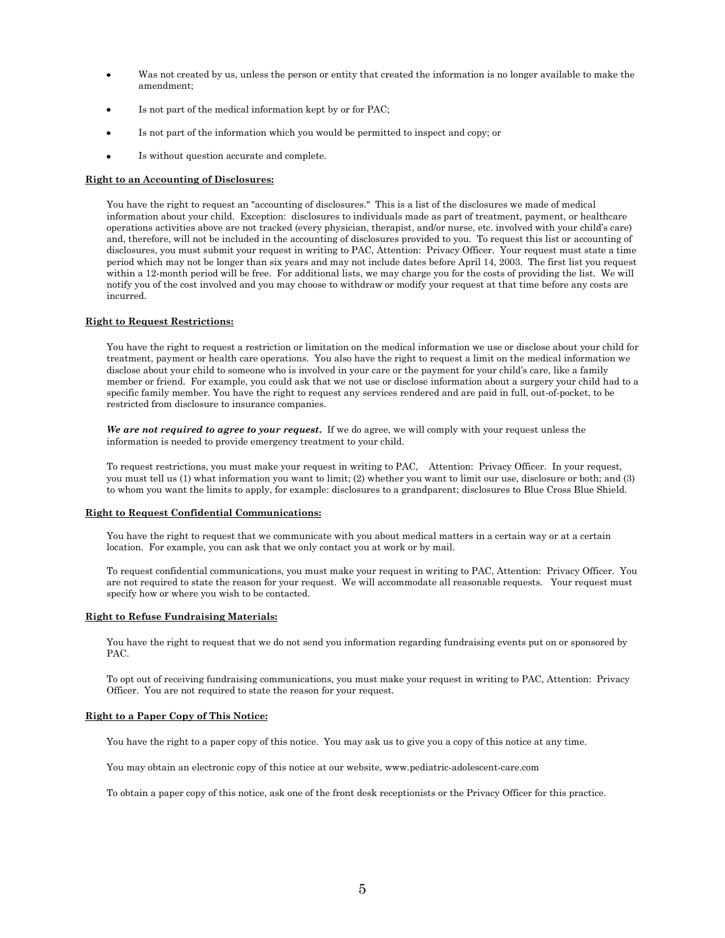- Was not created by us, unless the person or entity that created the information is no longer available to make the amendment;
- Is not part of the medical information kept by or for PAC;
- Is not part of the information which you would be permitted to inspect and copy; or  $\bullet$
- Is without question accurate and complete.

### **Right to an Accounting of Disclosures:**

You have the right to request an "accounting of disclosures." This is a list of the disclosures we made of medical information about your child. Exception: disclosures to individuals made as part of treatment, payment, or healthcare operations activities above are not tracked (every physician, therapist, and/or nurse, etc. involved with your child's care) and, therefore, will not be included in the accounting of disclosures provided to you. To request this list or accounting of disclosures, you must submit your request in writing to PAC, Attention: Privacy Officer. Your request must state a time period which may not be longer than six years and may not include dates before April 14, 2003. The first list you request within a 12-month period will be free. For additional lists, we may charge you for the costs of providing the list. We will notify you of the cost involved and you may choose to withdraw or modify your request at that time before any costs are incurred.

# **Right to Request Restrictions:**

You have the right to request a restriction or limitation on the medical information we use or disclose about your child for treatment, payment or health care operations. You also have the right to request a limit on the medical information we disclose about your child to someone who is involved in your care or the payment for your child's care, like a family member or friend. For example, you could ask that we not use or disclose information about a surgery your child had to a specific family member. You have the right to request any services rendered and are paid in full, out-of-pocket, to be restricted from disclosure to insurance companies.

*We are not required to agree to your request***.** If we do agree, we will comply with your request unless the information is needed to provide emergency treatment to your child.

To request restrictions, you must make your request in writing to PAC, Attention: Privacy Officer. In your request, you must tell us (1) what information you want to limit; (2) whether you want to limit our use, disclosure or both; and (3) to whom you want the limits to apply, for example: disclosures to a grandparent; disclosures to Blue Cross Blue Shield.

### **Right to Request Confidential Communications:**

You have the right to request that we communicate with you about medical matters in a certain way or at a certain location. For example, you can ask that we only contact you at work or by mail.

To request confidential communications, you must make your request in writing to PAC, Attention: Privacy Officer. You are not required to state the reason for your request. We will accommodate all reasonable requests. Your request must specify how or where you wish to be contacted.

### **Right to Refuse Fundraising Materials:**

You have the right to request that we do not send you information regarding fundraising events put on or sponsored by PAC.

To opt out of receiving fundraising communications, you must make your request in writing to PAC, Attention: Privacy Officer. You are not required to state the reason for your request.

### **Right to a Paper Copy of This Notice:**

You have the right to a paper copy of this notice. You may ask us to give you a copy of this notice at any time.

You may obtain an electronic copy of this notice at our website, www.pediatric-adolescent-care.com

To obtain a paper copy of this notice, ask one of the front desk receptionists or the Privacy Officer for this practice.